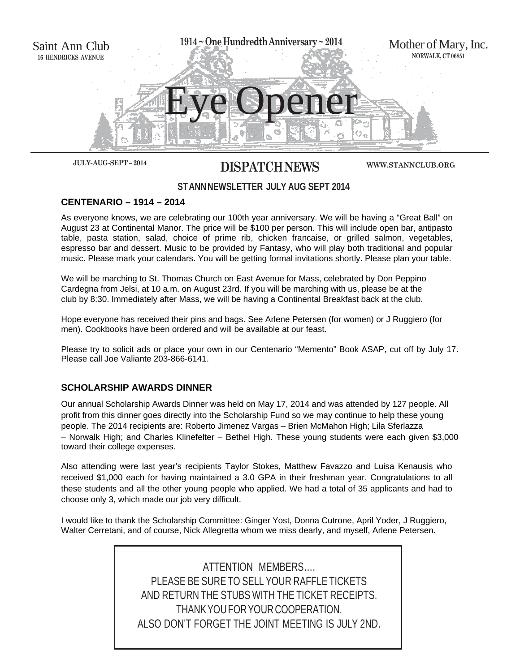

# **JULY- AUG -SEPT – 2014 DISPATCH NEWS**

**WWW.STANNCLUB.ORG**

# **ST ANN NEWSLETTER JULY AUG SEPT 2014**

### **CENTENARIO – 1914 – 2014**

As everyone knows, we are celebrating our 100th year anniversary. We will be having a "Great Ball" on August 23 at Continental Manor. The price will be \$100 per person. This will include open bar, antipasto table, pasta station, salad, choice of prime rib, chicken francaise, or grilled salmon, vegetables, espresso bar and dessert. Music to be provided by Fantasy, who will play both traditional and popular music. Please mark your calendars. You will be getting formal invitations shortly. Please plan your table.

We will be marching to St. Thomas Church on East Avenue for Mass, celebrated by Don Peppino Cardegna from Jelsi, at 10 a.m. on August 23rd. If you will be marching with us, please be at the club by 8:30. Immediately after Mass, we will be having a Continental Breakfast back at the club.

Hope everyone has received their pins and bags. See Arlene Petersen (for women) or J Ruggiero (for men). Cookbooks have been ordered and will be available at our feast.

Please try to solicit ads or place your own in our Centenario "Memento" Book ASAP, cut off by July 17. Please call Joe Valiante 203-866-6141.

### **SCHOLARSHIP AWARDS DINNER**

Our annual Scholarship Awards Dinner was held on May 17, 2014 and was attended by 127 people. All profit from this dinner goes directly into the Scholarship Fund so we may continue to help these young people. The 2014 recipients are: Roberto Jimenez Vargas – Brien McMahon High; Lila Sferlazza – Norwalk High; and Charles Klinefelter – Bethel High. These young students were each given \$3,000 toward their college expenses.

Also attending were last year's recipients Taylor Stokes, Matthew Favazzo and Luisa Kenausis who received \$1,000 each for having maintained a 3.0 GPA in their freshman year. Congratulations to all these students and all the other young people who applied. We had a total of 35 applicants and had to choose only 3, which made our job very difficult.

I would like to thank the Scholarship Committee: Ginger Yost, Donna Cutrone, April Yoder, J Ruggiero, Walter Cerretani, and of course, Nick Allegretta whom we miss dearly, and myself, Arlene Petersen.

> ATTENTION MEMBERS…. PLEASE BE SURE TO SELL YOUR RAFFLE TICKETS AND RETURN THE STUBS WITH THE TICKET RECEIPTS. THANK YOU FOR YOUR COOPERATION. ALSO DON'T FORGET THE JOINT MEETING IS JULY 2ND.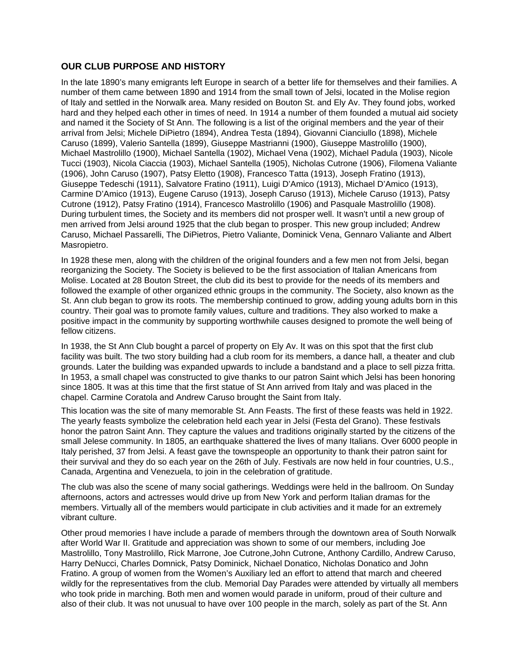#### **OUR CLUB PURPOSE AND HISTORY**

In the late 1890's many emigrants left Europe in search of a better life for themselves and their families. A number of them came between 1890 and 1914 from the small town of Jelsi, located in the Molise region of Italy and settled in the Norwalk area. Many resided on Bouton St. and Ely Av. They found jobs, worked hard and they helped each other in times of need. In 1914 a number of them founded a mutual aid society and named it the Society of St Ann. The following is a list of the original members and the year of their arrival from Jelsi; Michele DiPietro (1894), Andrea Testa (1894), Giovanni Cianciullo (1898), Michele Caruso (1899), Valerio Santella (1899), Giuseppe Mastrianni (1900), Giuseppe Mastrolillo (1900), Michael Mastrolillo (1900), Michael Santella (1902), Michael Vena (1902), Michael Padula (1903), Nicole Tucci (1903), Nicola Ciaccia (1903), Michael Santella (1905), Nicholas Cutrone (1906), Filomena Valiante (1906), John Caruso (1907), Patsy Eletto (1908), Francesco Tatta (1913), Joseph Fratino (1913), Giuseppe Tedeschi (1911), Salvatore Fratino (1911), Luigi D'Amico (1913), Michael D'Amico (1913), Carmine D'Amico (1913), Eugene Caruso (1913), Joseph Caruso (1913), Michele Caruso (1913), Patsy Cutrone (1912), Patsy Fratino (1914), Francesco Mastrolillo (1906) and Pasquale Mastrolillo (1908). During turbulent times, the Society and its members did not prosper well. It wasn't until a new group of men arrived from Jelsi around 1925 that the club began to prosper. This new group included; Andrew Caruso, Michael Passarelli, The DiPietros, Pietro Valiante, Dominick Vena, Gennaro Valiante and Albert Masropietro.

In 1928 these men, along with the children of the original founders and a few men not from Jelsi, began reorganizing the Society. The Society is believed to be the first association of Italian Americans from Molise. Located at 28 Bouton Street, the club did its best to provide for the needs of its members and followed the example of other organized ethnic groups in the community. The Society, also known as the St. Ann club began to grow its roots. The membership continued to grow, adding young adults born in this country. Their goal was to promote family values, culture and traditions. They also worked to make a positive impact in the community by supporting worthwhile causes designed to promote the well being of fellow citizens.

In 1938, the St Ann Club bought a parcel of property on Ely Av. It was on this spot that the first club facility was built. The two story building had a club room for its members, a dance hall, a theater and club grounds. Later the building was expanded upwards to include a bandstand and a place to sell pizza fritta. In 1953, a small chapel was constructed to give thanks to our patron Saint which Jelsi has been honoring since 1805. It was at this time that the first statue of St Ann arrived from Italy and was placed in the chapel. Carmine Coratola and Andrew Caruso brought the Saint from Italy.

This location was the site of many memorable St. Ann Feasts. The first of these feasts was held in 1922. The yearly feasts symbolize the celebration held each year in Jelsi (Festa del Grano). These festivals honor the patron Saint Ann. They capture the values and traditions originally started by the citizens of the small Jelese community. In 1805, an earthquake shattered the lives of many Italians. Over 6000 people in Italy perished, 37 from Jelsi. A feast gave the townspeople an opportunity to thank their patron saint for their survival and they do so each year on the 26th of July. Festivals are now held in four countries, U.S., Canada, Argentina and Venezuela, to join in the celebration of gratitude.

The club was also the scene of many social gatherings. Weddings were held in the ballroom. On Sunday afternoons, actors and actresses would drive up from New York and perform Italian dramas for the members. Virtually all of the members would participate in club activities and it made for an extremely vibrant culture.

Other proud memories I have include a parade of members through the downtown area of South Norwalk after World War II. Gratitude and appreciation was shown to some of our members, including Joe Mastrolillo, Tony Mastrolillo, Rick Marrone, Joe Cutrone,John Cutrone, Anthony Cardillo, Andrew Caruso, Harry DeNucci, Charles Domnick, Patsy Dominick, Nichael Donatico, Nicholas Donatico and John Fratino. A group of women from the Women's Auxiliary led an effort to attend that march and cheered wildly for the representatives from the club. Memorial Day Parades were attended by virtually all members who took pride in marching. Both men and women would parade in uniform, proud of their culture and also of their club. It was not unusual to have over 100 people in the march, solely as part of the St. Ann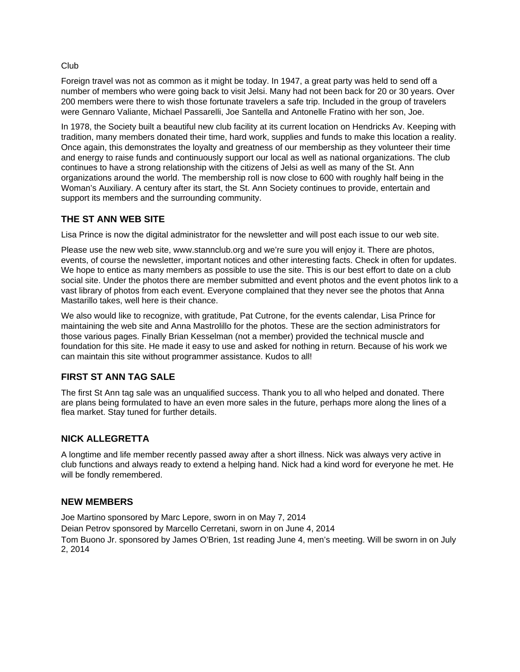#### Club

Foreign travel was not as common as it might be today. In 1947, a great party was held to send off a number of members who were going back to visit Jelsi. Many had not been back for 20 or 30 years. Over 200 members were there to wish those fortunate travelers a safe trip. Included in the group of travelers were Gennaro Valiante, Michael Passarelli, Joe Santella and Antonelle Fratino with her son, Joe.

In 1978, the Society built a beautiful new club facility at its current location on Hendricks Av. Keeping with tradition, many members donated their time, hard work, supplies and funds to make this location a reality. Once again, this demonstrates the loyalty and greatness of our membership as they volunteer their time and energy to raise funds and continuously support our local as well as national organizations. The club continues to have a strong relationship with the citizens of Jelsi as well as many of the St. Ann organizations around the world. The membership roll is now close to 600 with roughly half being in the Woman's Auxiliary. A century after its start, the St. Ann Society continues to provide, entertain and support its members and the surrounding community.

# **THE ST ANN WEB SITE**

Lisa Prince is now the digital administrator for the newsletter and will post each issue to our web site.

Please use the new web site, www.stannclub.org and we're sure you will enjoy it. There are photos, events, of course the newsletter, important notices and other interesting facts. Check in often for updates. We hope to entice as many members as possible to use the site. This is our best effort to date on a club social site. Under the photos there are member submitted and event photos and the event photos link to a vast library of photos from each event. Everyone complained that they never see the photos that Anna Mastarillo takes, well here is their chance.

We also would like to recognize, with gratitude, Pat Cutrone, for the events calendar, Lisa Prince for maintaining the web site and Anna Mastrolillo for the photos. These are the section administrators for those various pages. Finally Brian Kesselman (not a member) provided the technical muscle and foundation for this site. He made it easy to use and asked for nothing in return. Because of his work we can maintain this site without programmer assistance. Kudos to all!

### **FIRST ST ANN TAG SALE**

The first St Ann tag sale was an unqualified success. Thank you to all who helped and donated. There are plans being formulated to have an even more sales in the future, perhaps more along the lines of a flea market. Stay tuned for further details.

### **NICK ALLEGRETTA**

A longtime and life member recently passed away after a short illness. Nick was always very active in club functions and always ready to extend a helping hand. Nick had a kind word for everyone he met. He will be fondly remembered.

### **NEW MEMBERS**

Joe Martino sponsored by Marc Lepore, sworn in on May 7, 2014 Deian Petrov sponsored by Marcello Cerretani, sworn in on June 4, 2014 Tom Buono Jr. sponsored by James O'Brien, 1st reading June 4, men's meeting. Will be sworn in on July 2, 2014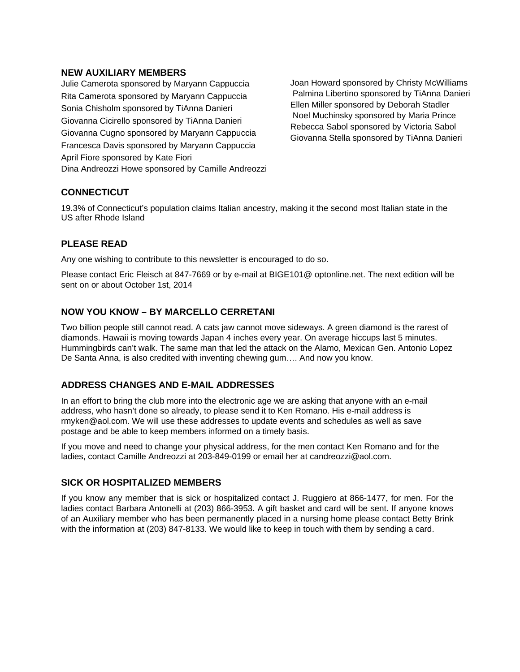#### **NEW AUXILIARY MEMBERS**

Julie Camerota sponsored by Maryann Cappuccia Rita Camerota sponsored by Maryann Cappuccia Sonia Chisholm sponsored by TiAnna Danieri Giovanna Cicirello sponsored by TiAnna Danieri Giovanna Cugno sponsored by Maryann Cappuccia Francesca Davis sponsored by Maryann Cappuccia April Fiore sponsored by Kate Fiori Dina Andreozzi Howe sponsored by Camille Andreozzi Joan Howard sponsored by Christy McWilliams Palmina Libertino sponsored by TiAnna Danieri Ellen Miller sponsored by Deborah Stadler Noel Muchinsky sponsored by Maria Prince Rebecca Sabol sponsored by Victoria Sabol Giovanna Stella sponsored by TiAnna Danieri

# **CONNECTICUT**

19.3% of Connecticut's population claims Italian ancestry, making it the second most Italian state in the US after Rhode Island

### **PLEASE READ**

Any one wishing to contribute to this newsletter is encouraged to do so.

Please contact Eric Fleisch at 847-7669 or by e-mail at BIGE101@ optonline.net. The next edition will be sent on or about October 1st, 2014

# **NOW YOU KNOW – BY MARCELLO CERRETANI**

Two billion people still cannot read. A cats jaw cannot move sideways. A green diamond is the rarest of diamonds. Hawaii is moving towards Japan 4 inches every year. On average hiccups last 5 minutes. Hummingbirds can't walk. The same man that led the attack on the Alamo, Mexican Gen. Antonio Lopez De Santa Anna, is also credited with inventing chewing gum…. And now you know.

### **ADDRESS CHANGES AND E-MAIL ADDRESSES**

In an effort to bring the club more into the electronic age we are asking that anyone with an e-mail address, who hasn't done so already, to please send it to Ken Romano. His e-mail address is rmyken@aol.com. We will use these addresses to update events and schedules as well as save postage and be able to keep members informed on a timely basis.

If you move and need to change your physical address, for the men contact Ken Romano and for the ladies, contact Camille Andreozzi at 203-849-0199 or email her at candreozzi@aol.com.

#### **SICK OR HOSPITALIZED MEMBERS**

If you know any member that is sick or hospitalized contact J. Ruggiero at 866-1477, for men. For the ladies contact Barbara Antonelli at (203) 866-3953. A gift basket and card will be sent. If anyone knows of an Auxiliary member who has been permanently placed in a nursing home please contact Betty Brink with the information at (203) 847-8133. We would like to keep in touch with them by sending a card.